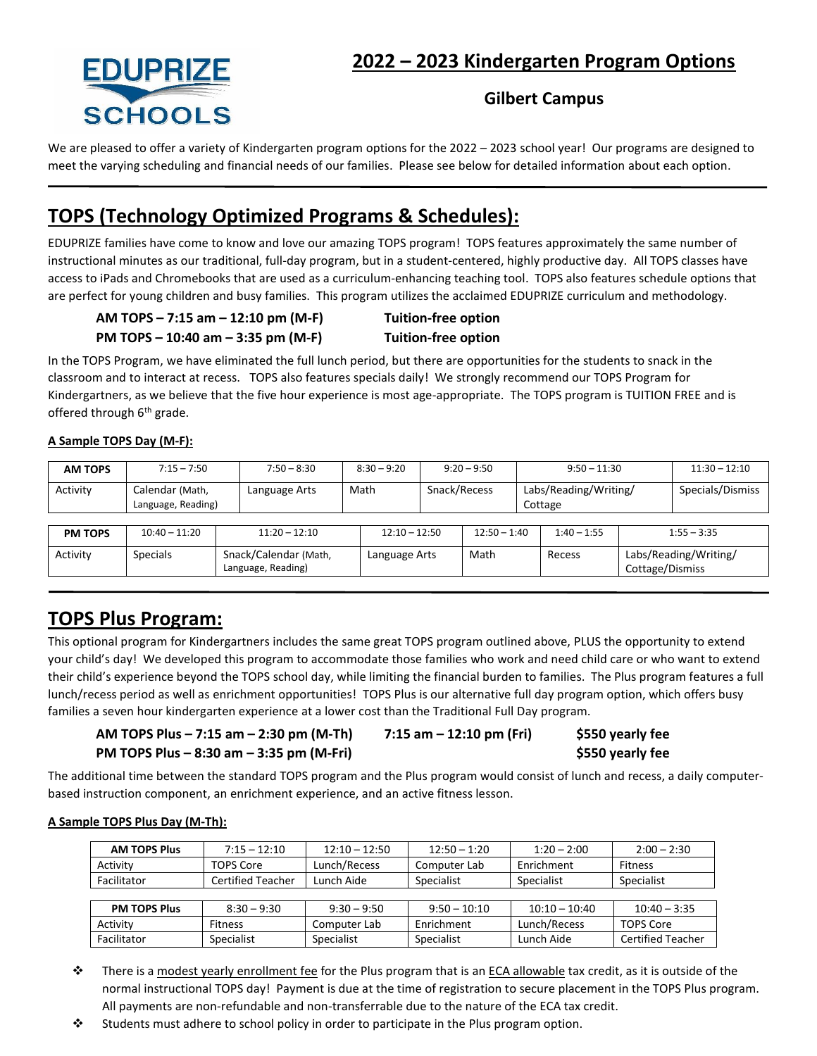

# **2022 – 2023 Kindergarten Program Options**

### **Gilbert Campus**

We are pleased to offer a variety of Kindergarten program options for the 2022 – 2023 school year! Our programs are designed to meet the varying scheduling and financial needs of our families. Please see below for detailed information about each option.

# **TOPS (Technology Optimized Programs & Schedules):**

EDUPRIZE families have come to know and love our amazing TOPS program! TOPS features approximately the same number of instructional minutes as our traditional, full-day program, but in a student-centered, highly productive day. All TOPS classes have access to iPads and Chromebooks that are used as a curriculum-enhancing teaching tool. TOPS also features schedule options that are perfect for young children and busy families. This program utilizes the acclaimed EDUPRIZE curriculum and methodology.

**AM TOPS – 7:15 am – 12:10 pm (M-F) Tuition-free option**

**PM TOPS – 10:40 am – 3:35 pm (M-F) Tuition-free option**

In the TOPS Program, we have eliminated the full lunch period, but there are opportunities for the students to snack in the classroom and to interact at recess. TOPS also features specials daily! We strongly recommend our TOPS Program for Kindergartners, as we believe that the five hour experience is most age-appropriate. The TOPS program is TUITION FREE and is offered through  $6<sup>th</sup>$  grade.

#### **A Sample TOPS Day (M-F):**

| <b>AM TOPS</b> | $7:15 - 7:50$                         | $7:50 - 8:30$                               | $8:30 - 9:20$   | $9:20 - 9:50$ |                | $9:50 - 11:30$                   |               | $11:30 - 12:10$                          |                  |
|----------------|---------------------------------------|---------------------------------------------|-----------------|---------------|----------------|----------------------------------|---------------|------------------------------------------|------------------|
| Activity       | Calendar (Math,<br>Language, Reading) | Language Arts                               | Math            | Snack/Recess  |                | Labs/Reading/Writing/<br>Cottage |               |                                          | Specials/Dismiss |
|                |                                       |                                             |                 |               |                |                                  |               |                                          |                  |
| <b>PM TOPS</b> | $10:40 - 11:20$                       | $11:20 - 12:10$                             | $12:10 - 12:50$ |               | $12:50 - 1:40$ |                                  | $1:40 - 1:55$ |                                          | $1:55 - 3:35$    |
| Activity       | <b>Specials</b>                       | Snack/Calendar (Math,<br>Language, Reading) | Language Arts   |               | Math           |                                  | Recess        | Labs/Reading/Writing/<br>Cottage/Dismiss |                  |

## **TOPS Plus Program:**

This optional program for Kindergartners includes the same great TOPS program outlined above, PLUS the opportunity to extend your child's day! We developed this program to accommodate those families who work and need child care or who want to extend their child's experience beyond the TOPS school day, while limiting the financial burden to families. The Plus program features a full lunch/recess period as well as enrichment opportunities! TOPS Plus is our alternative full day program option, which offers busy families a seven hour kindergarten experience at a lower cost than the Traditional Full Day program.

| AM TOPS Plus – 7:15 am – 2:30 pm (M-Th)  | 7:15 am $-$ 12:10 pm (Fri) | \$550 yearly fee |
|------------------------------------------|----------------------------|------------------|
| PM TOPS Plus – 8:30 am – 3:35 pm (M-Fri) |                            | \$550 yearly fee |

The additional time between the standard TOPS program and the Plus program would consist of lunch and recess, a daily computerbased instruction component, an enrichment experience, and an active fitness lesson.

#### **A Sample TOPS Plus Day (M-Th):**

| <b>AM TOPS Plus</b><br>$7:15 - 12:10$ |                          | $12:10 - 12:50$ | $12:50 - 1:20$ | $1:20 - 2:00$   | $2:00 - 2:30$            |  |
|---------------------------------------|--------------------------|-----------------|----------------|-----------------|--------------------------|--|
| Activity<br><b>TOPS Core</b>          |                          | Lunch/Recess    | Computer Lab   | Enrichment      | Fitness                  |  |
| Facilitator                           | <b>Certified Teacher</b> | Lunch Aide      | Specialist     | Specialist      | Specialist               |  |
|                                       |                          |                 |                |                 |                          |  |
| <b>PM TOPS Plus</b>                   | $8:30 - 9:30$            | $9:30 - 9:50$   | $9:50 - 10:10$ | $10:10 - 10:40$ | $10:40 - 3:35$           |  |
| Activity                              | <b>Fitness</b>           |                 | Enrichment     | Lunch/Recess    | <b>TOPS Core</b>         |  |
| Facilitator<br>Specialist             |                          | Specialist      | Specialist     | Lunch Aide      | <b>Certified Teacher</b> |  |

There is a modest yearly enrollment fee for the Plus program that is an ECA allowable tax credit, as it is outside of the normal instructional TOPS day! Payment is due at the time of registration to secure placement in the TOPS Plus program. All payments are non-refundable and non-transferrable due to the nature of the ECA tax credit.

Students must adhere to school policy in order to participate in the Plus program option.